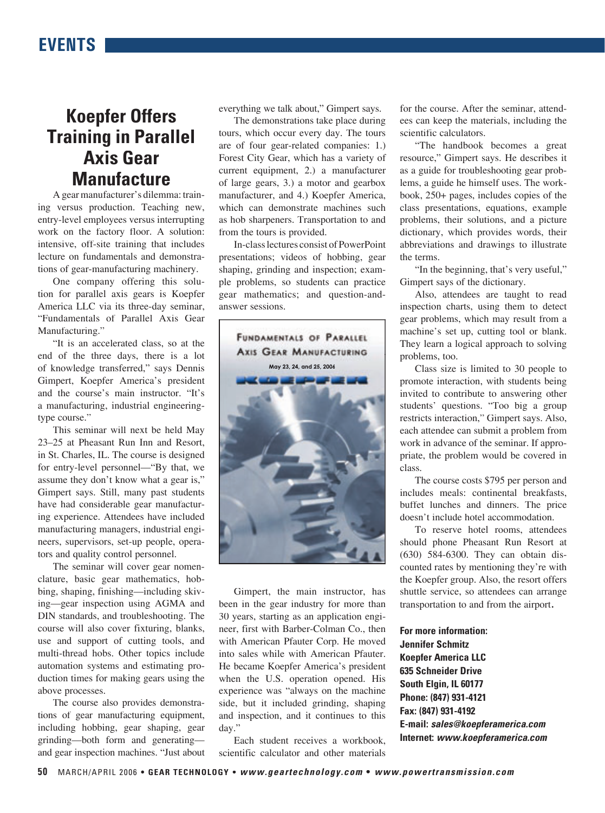## **Koepfer Offers Training in Parallel Axis Gear Manufacture**

A gear manufacturer's dilemma: training versus production. Teaching new, entry-level employees versus interrupting work on the factory floor. A solution: intensive, off-site training that includes lecture on fundamentals and demonstrations of gear-manufacturing machinery.

One company offering this solution for parallel axis gears is Koepfer America LLC via its three-day seminar, "Fundamentals of Parallel Axis Gear Manufacturing."

"It is an accelerated class, so at the end of the three days, there is a lot of knowledge transferred," says Dennis Gimpert, Koepfer America's president and the course's main instructor. "It's a manufacturing, industrial engineeringtype course."

This seminar will next be held May 23–25 at Pheasant Run Inn and Resort, in St. Charles, IL. The course is designed for entry-level personnel—"By that, we assume they don't know what a gear is," Gimpert says. Still, many past students have had considerable gear manufacturing experience. Attendees have included manufacturing managers, industrial engineers, supervisors, set-up people, operators and quality control personnel.

The seminar will cover gear nomenclature, basic gear mathematics, hobbing, shaping, finishing—including skiving—gear inspection using AGMA and DIN standards, and troubleshooting. The course will also cover fixturing, blanks, use and support of cutting tools, and multi-thread hobs. Other topics include automation systems and estimating production times for making gears using the above processes.

The course also provides demonstrations of gear manufacturing equipment, including hobbing, gear shaping, gear grinding—both form and generating and gear inspection machines. "Just about everything we talk about," Gimpert says.

The demonstrations take place during tours, which occur every day. The tours are of four gear-related companies: 1.) Forest City Gear, which has a variety of current equipment, 2.) a manufacturer of large gears, 3.) a motor and gearbox manufacturer, and 4.) Koepfer America, which can demonstrate machines such as hob sharpeners. Transportation to and from the tours is provided.

In-class lectures consist of PowerPoint presentations; videos of hobbing, gear shaping, grinding and inspection; example problems, so students can practice gear mathematics; and question-andanswer sessions.



Gimpert, the main instructor, has been in the gear industry for more than 30 years, starting as an application engineer, first with Barber-Colman Co., then with American Pfauter Corp. He moved into sales while with American Pfauter. He became Koepfer America's president when the U.S. operation opened. His experience was "always on the machine side, but it included grinding, shaping and inspection, and it continues to this day."

Each student receives a workbook, scientific calculator and other materials

for the course. After the seminar, attendees can keep the materials, including the scientific calculators.

"The handbook becomes a great resource," Gimpert says. He describes it as a guide for troubleshooting gear problems, a guide he himself uses. The workbook, 250+ pages, includes copies of the class presentations, equations, example problems, their solutions, and a picture dictionary, which provides words, their abbreviations and drawings to illustrate the terms.

"In the beginning, that's very useful," Gimpert says of the dictionary.

Also, attendees are taught to read inspection charts, using them to detect gear problems, which may result from a machine's set up, cutting tool or blank. They learn a logical approach to solving problems, too.

Class size is limited to 30 people to promote interaction, with students being invited to contribute to answering other students' questions. "Too big a group restricts interaction," Gimpert says. Also, each attendee can submit a problem from work in advance of the seminar. If appropriate, the problem would be covered in class.

The course costs \$795 per person and includes meals: continental breakfasts, buffet lunches and dinners. The price doesn't include hotel accommodation.

To reserve hotel rooms, attendees should phone Pheasant Run Resort at (630) 584-6300. They can obtain discounted rates by mentioning they're with the Koepfer group. Also, the resort offers shuttle service, so attendees can arrange transportation to and from the airport.

**For more information: Jennifer Schmitz Koepfer America LLC 635 Schneider Drive South Elgin, IL 60177 Phone: (847) 931-4121 Fax: (847) 931-4192 E-mail: sales@koepferamerica.com Internet: www.koepferamerica.com**